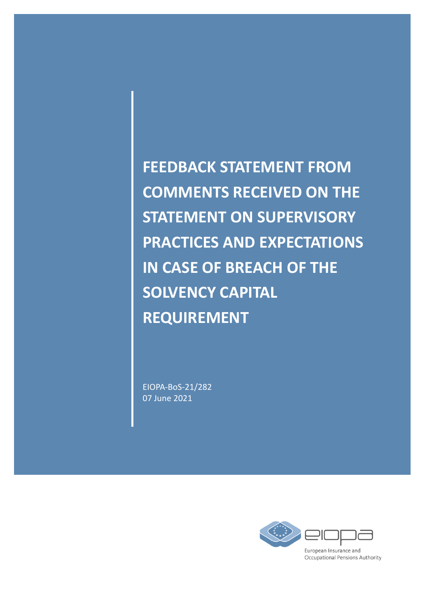**FEEDBACK STATEMENT FROM COMMENTS RECEIVED ON THE STATEMENT ON SUPERVISORY PRACTICES AND EXPECTATIONS IN CASE OF BREACH OF THE SOLVENCY CAPITAL REQUIREMENT**

EIOPA-BoS-21/282 07 June 2021

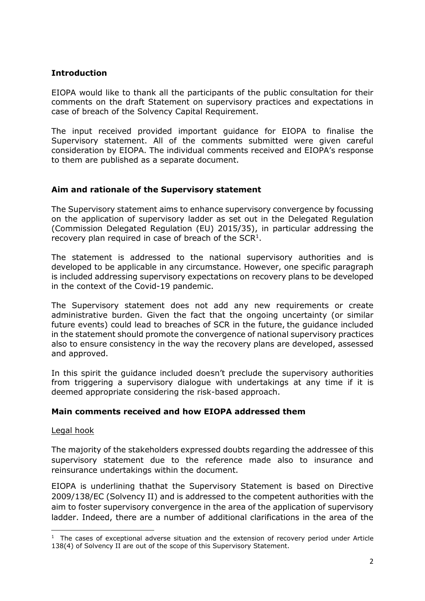### **Introduction**

EIOPA would like to thank all the participants of the public consultation for their comments on the draft Statement on supervisory practices and expectations in case of breach of the Solvency Capital Requirement.

The input received provided important guidance for EIOPA to finalise the Supervisory statement. All of the comments submitted were given careful consideration by EIOPA. The individual comments received and EIOPA's response to them are published as a separate document.

# **Aim and rationale of the Supervisory statement**

The Supervisory statement aims to enhance supervisory convergence by focussing on the application of supervisory ladder as set out in the Delegated Regulation (Commission Delegated Regulation (EU) 2015/35), in particular addressing the recovery plan required in case of breach of the  $SCR<sup>1</sup>$ .

The statement is addressed to the national supervisory authorities and is developed to be applicable in any circumstance. However, one specific paragraph is included addressing supervisory expectations on recovery plans to be developed in the context of the Covid-19 pandemic.

The Supervisory statement does not add any new requirements or create administrative burden. Given the fact that the ongoing uncertainty (or similar future events) could lead to breaches of SCR in the future, the guidance included in the statement should promote the convergence of national supervisory practices also to ensure consistency in the way the recovery plans are developed, assessed and approved.

In this spirit the guidance included doesn't preclude the supervisory authorities from triggering a supervisory dialogue with undertakings at any time if it is deemed appropriate considering the risk-based approach.

### **Main comments received and how EIOPA addressed them**

### Legal hook

The majority of the stakeholders expressed doubts regarding the addressee of this supervisory statement due to the reference made also to insurance and reinsurance undertakings within the document.

EIOPA is underlining thathat the Supervisory Statement is based on Directive 2009/138/EC (Solvency II) and is addressed to the competent authorities with the aim to foster supervisory convergence in the area of the application of supervisory ladder. Indeed, there are a number of additional clarifications in the area of the

 $\overline{a}$ <sup>1</sup> The cases of exceptional adverse situation and the extension of recovery period under Article 138(4) of Solvency II are out of the scope of this Supervisory Statement.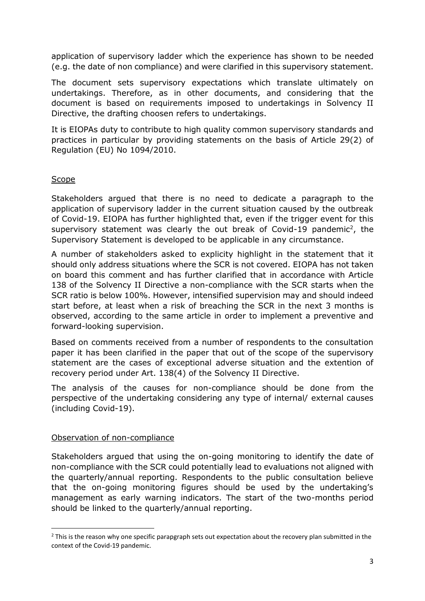application of supervisory ladder which the experience has shown to be needed (e.g. the date of non compliance) and were clarified in this supervisory statement.

The document sets supervisory expectations which translate ultimately on undertakings. Therefore, as in other documents, and considering that the document is based on requirements imposed to undertakings in Solvency II Directive, the drafting choosen refers to undertakings.

It is EIOPAs duty to contribute to high quality common supervisory standards and practices in particular by providing statements on the basis of Article 29(2) of Regulation (EU) No 1094/2010.

# **Scope**

Stakeholders argued that there is no need to dedicate a paragraph to the application of supervisory ladder in the current situation caused by the outbreak of Covid-19. EIOPA has further highlighted that, even if the trigger event for this supervisory statement was clearly the out break of Covid-19 pandemic<sup>2</sup>, the Supervisory Statement is developed to be applicable in any circumstance.

A number of stakeholders asked to explicity highlight in the statement that it should only address situations where the SCR is not covered. EIOPA has not taken on board this comment and has further clarified that in accordance with Article 138 of the Solvency II Directive a non-compliance with the SCR starts when the SCR ratio is below 100%. However, intensified supervision may and should indeed start before, at least when a risk of breaching the SCR in the next 3 months is observed, according to the same article in order to implement a preventive and forward-looking supervision.

Based on comments received from a number of respondents to the consultation paper it has been clarified in the paper that out of the scope of the supervisory statement are the cases of exceptional adverse situation and the extention of recovery period under Art. 138(4) of the Solvency II Directive.

The analysis of the causes for non-compliance should be done from the perspective of the undertaking considering any type of internal/ external causes (including Covid-19).

### Observation of non-compliance

1

Stakeholders argued that using the on-going monitoring to identify the date of non-compliance with the SCR could potentially lead to evaluations not aligned with the quarterly/annual reporting. Respondents to the public consultation believe that the on-going monitoring figures should be used by the undertaking's management as early warning indicators. The start of the two-months period should be linked to the quarterly/annual reporting.

 $<sup>2</sup>$  This is the reason why one specific parapgraph sets out expectation about the recovery plan submitted in the</sup> context of the Covid-19 pandemic.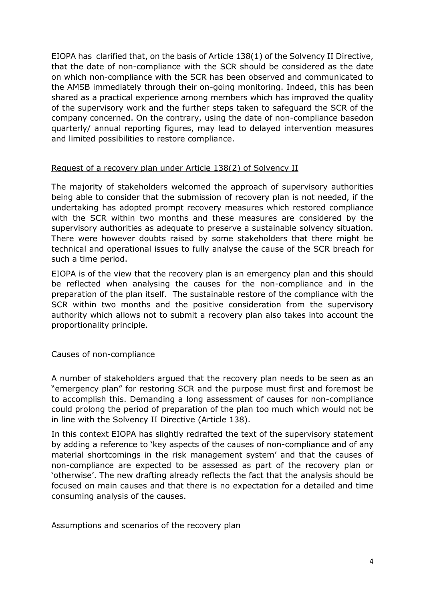EIOPA has clarified that, on the basis of Article 138(1) of the Solvency II Directive, that the date of non-compliance with the SCR should be considered as the date on which non-compliance with the SCR has been observed and communicated to the AMSB immediately through their on-going monitoring. Indeed, this has been shared as a practical experience among members which has improved the quality of the supervisory work and the further steps taken to safeguard the SCR of the company concerned. On the contrary, using the date of non-compliance basedon quarterly/ annual reporting figures, may lead to delayed intervention measures and limited possibilities to restore compliance.

### Request of a recovery plan under Article 138(2) of Solvency II

The majority of stakeholders welcomed the approach of supervisory authorities being able to consider that the submission of recovery plan is not needed, if the undertaking has adopted prompt recovery measures which restored compliance with the SCR within two months and these measures are considered by the supervisory authorities as adequate to preserve a sustainable solvency situation. There were however doubts raised by some stakeholders that there might be technical and operational issues to fully analyse the cause of the SCR breach for such a time period.

EIOPA is of the view that the recovery plan is an emergency plan and this should be reflected when analysing the causes for the non-compliance and in the preparation of the plan itself. The sustainable restore of the compliance with the SCR within two months and the positive consideration from the supervisory authority which allows not to submit a recovery plan also takes into account the proportionality principle.

### Causes of non-compliance

A number of stakeholders argued that the recovery plan needs to be seen as an "emergency plan" for restoring SCR and the purpose must first and foremost be to accomplish this. Demanding a long assessment of causes for non-compliance could prolong the period of preparation of the plan too much which would not be in line with the Solvency II Directive (Article 138).

In this context EIOPA has slightly redrafted the text of the supervisory statement by adding a reference to 'key aspects of the causes of non-compliance and of any material shortcomings in the risk management system' and that the causes of non-compliance are expected to be assessed as part of the recovery plan or 'otherwise'. The new drafting already reflects the fact that the analysis should be focused on main causes and that there is no expectation for a detailed and time consuming analysis of the causes.

### Assumptions and scenarios of the recovery plan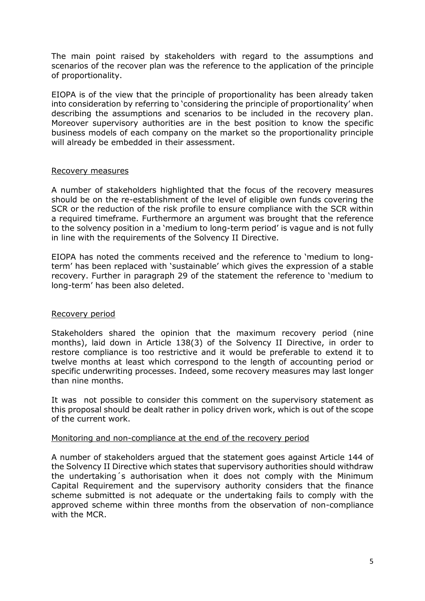The main point raised by stakeholders with regard to the assumptions and scenarios of the recover plan was the reference to the application of the principle of proportionality.

EIOPA is of the view that the principle of proportionality has been already taken into consideration by referring to 'considering the principle of proportionality' when describing the assumptions and scenarios to be included in the recovery plan. Moreover supervisory authorities are in the best position to know the specific business models of each company on the market so the proportionality principle will already be embedded in their assessment.

#### Recovery measures

A number of stakeholders highlighted that the focus of the recovery measures should be on the re-establishment of the level of eligible own funds covering the SCR or the reduction of the risk profile to ensure compliance with the SCR within a required timeframe. Furthermore an argument was brought that the reference to the solvency position in a 'medium to long-term period' is vague and is not fully in line with the requirements of the Solvency II Directive.

EIOPA has noted the comments received and the reference to 'medium to longterm' has been replaced with 'sustainable' which gives the expression of a stable recovery. Further in paragraph 29 of the statement the reference to 'medium to long-term' has been also deleted.

### Recovery period

Stakeholders shared the opinion that the maximum recovery period (nine months), laid down in Article 138(3) of the Solvency II Directive, in order to restore compliance is too restrictive and it would be preferable to extend it to twelve months at least which correspond to the length of accounting period or specific underwriting processes. Indeed, some recovery measures may last longer than nine months.

It was not possible to consider this comment on the supervisory statement as this proposal should be dealt rather in policy driven work, which is out of the scope of the current work.

### Monitoring and non-compliance at the end of the recovery period

A number of stakeholders argued that the statement goes against Article 144 of the Solvency II Directive which states that supervisory authorities should withdraw the undertaking´s authorisation when it does not comply with the Minimum Capital Requirement and the supervisory authority considers that the finance scheme submitted is not adequate or the undertaking fails to comply with the approved scheme within three months from the observation of non-compliance with the MCR.